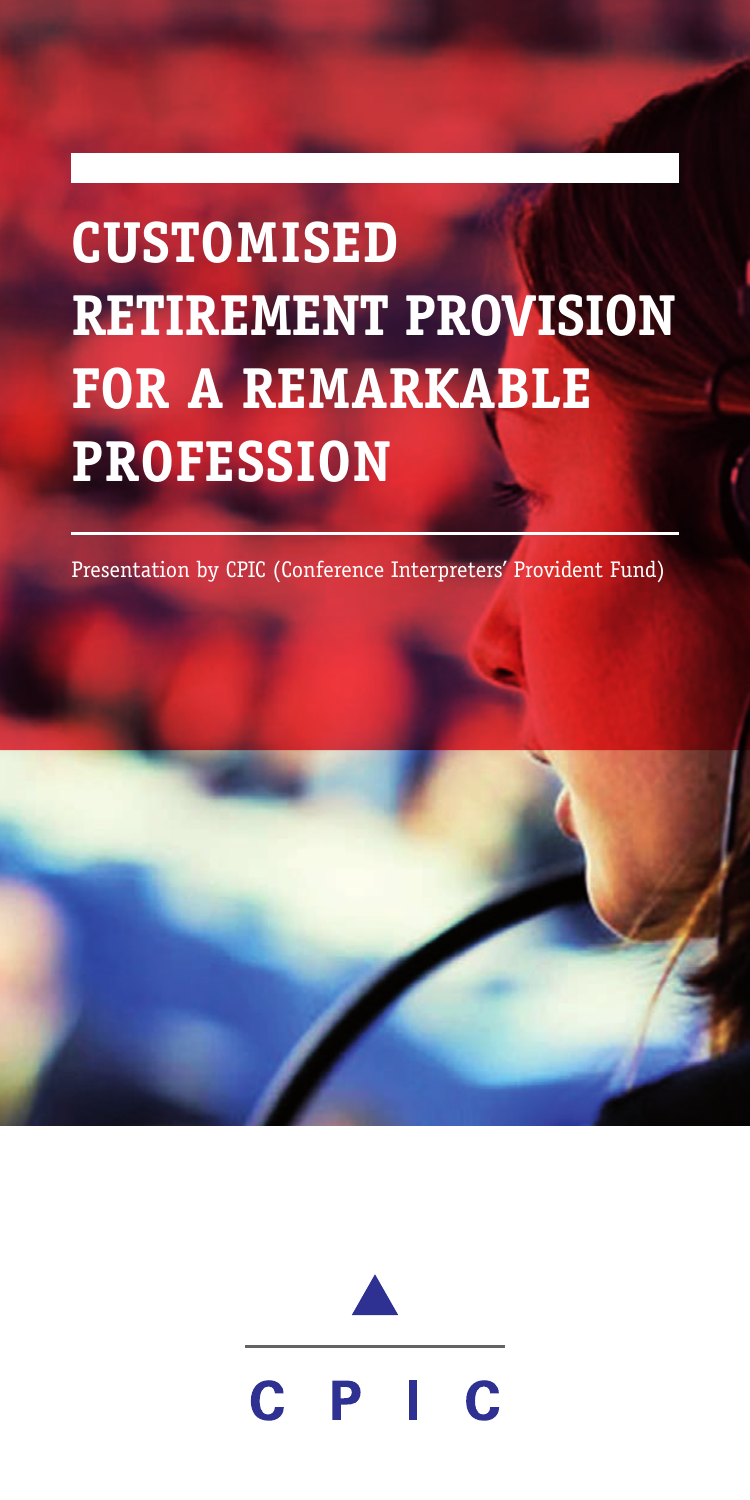# **CUSTOMISED RETIREMENT PROVISION FOR A REMARKABLE PROFESSION**

Presentation by CPIC (Conference Interpreters' Provident Fund)

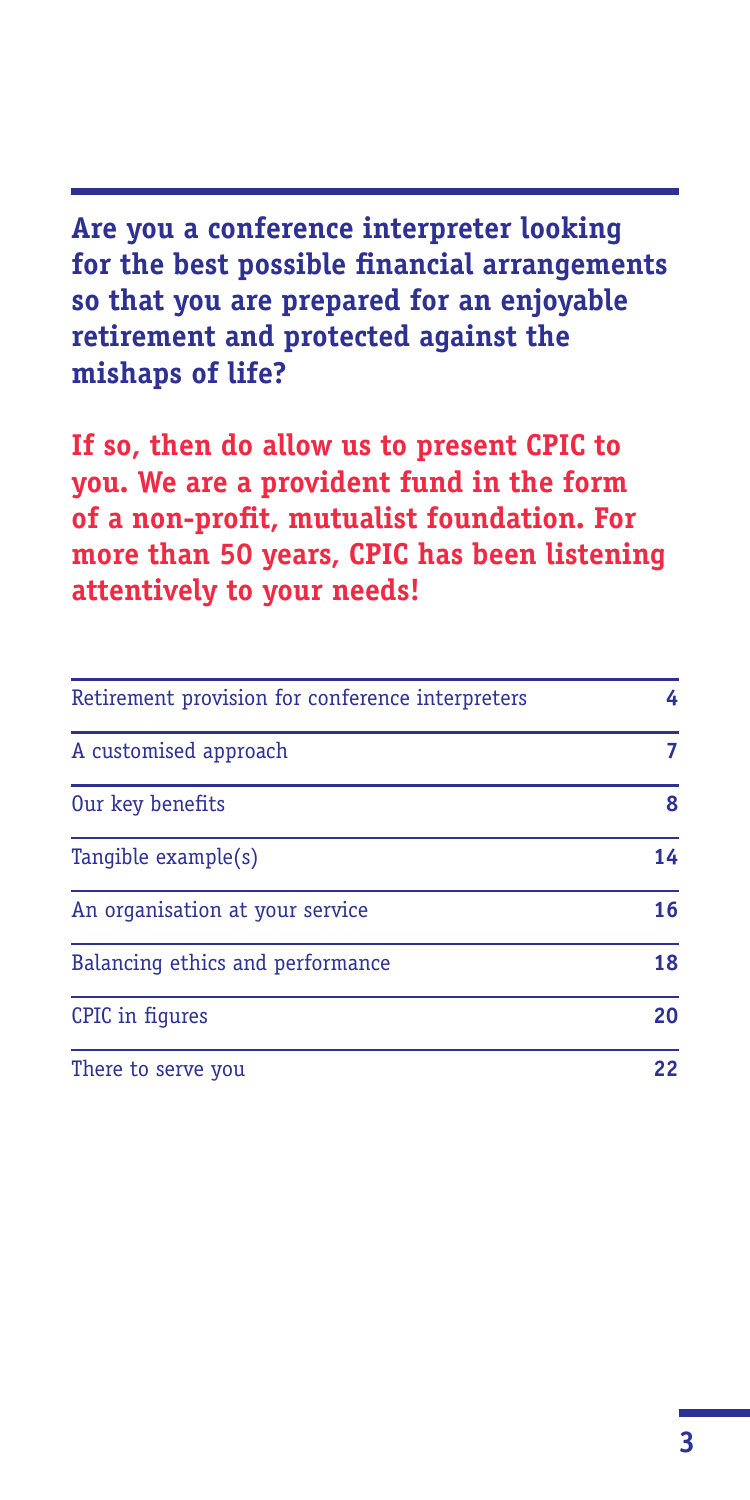**Are you a conference interpreter looking for the best possible financial arrangements so that you are prepared for an enjoyable retirement and protected against the mishaps of life?**

**If so, then do allow us to present CPIC to you. We are a provident fund in the form of a non-profit, mutualist foundation. For more than 50 years, CPIC has been listening attentively to your needs!**

| Retirement provision for conference interpreters | 4  |
|--------------------------------------------------|----|
| A customised approach                            | 7  |
| Our key benefits                                 | 8  |
| Tangible example(s)                              | 14 |
| An organisation at your service                  | 16 |
| Balancing ethics and performance                 | 18 |
| CPIC in figures                                  | 20 |
| There to serve you                               | 22 |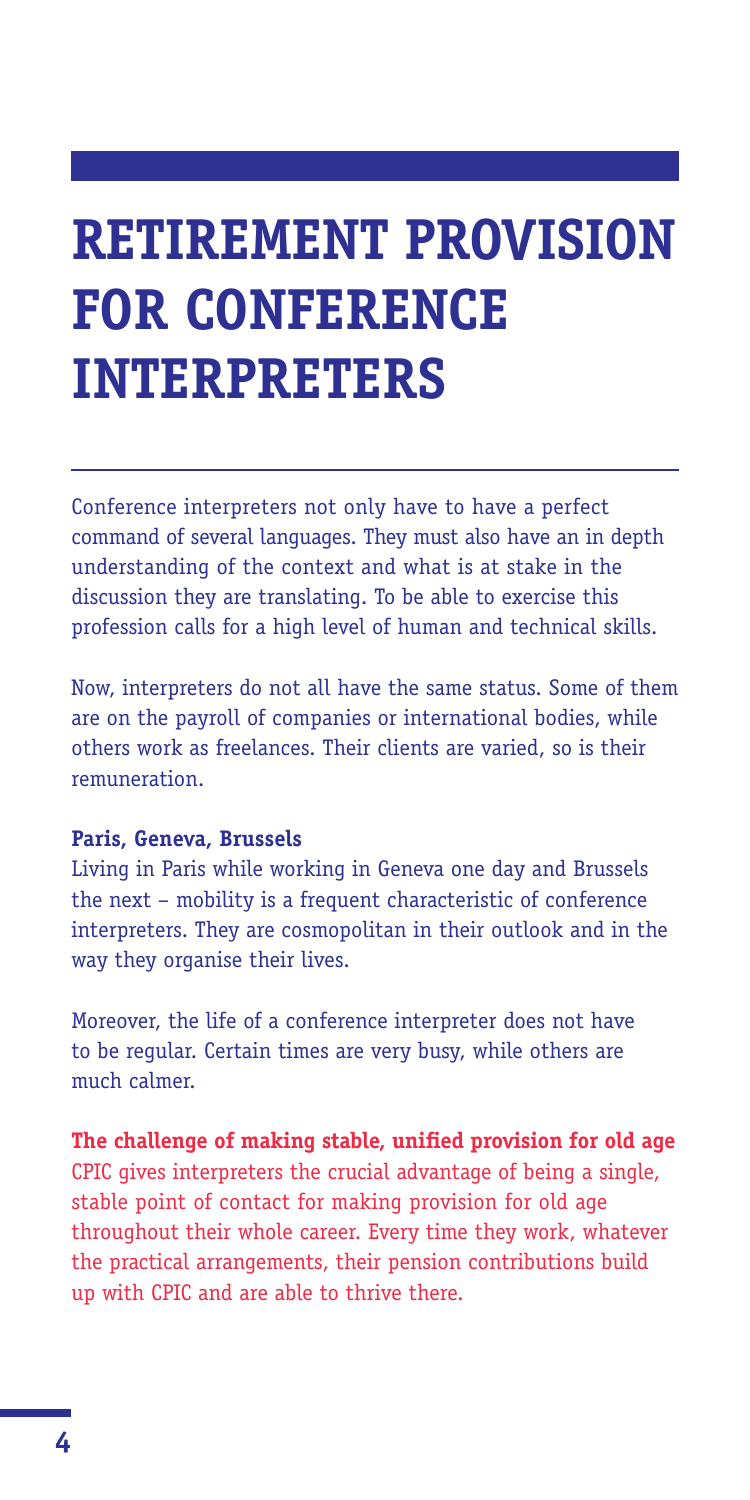# **RETIREMENT PROVISION FOR CONFERENCE INTERPRETERS**

Conference interpreters not only have to have a perfect command of several languages. They must also have an in depth understanding of the context and what is at stake in the discussion they are translating. To be able to exercise this profession calls for a high level of human and technical skills.

Now, interpreters do not all have the same status. Some of them are on the payroll of companies or international bodies, while others work as freelances. Their clients are varied, so is their remuneration.

#### **Paris, Geneva, Brussels**

Living in Paris while working in Geneva one day and Brussels the next – mobility is a frequent characteristic of conference interpreters. They are cosmopolitan in their outlook and in the way they organise their lives.

Moreover, the life of a conference interpreter does not have to be regular. Certain times are very busy, while others are much calmer.

**The challenge of making stable, unified provision for old age**  CPIC gives interpreters the crucial advantage of being a single, stable point of contact for making provision for old age throughout their whole career. Every time they work, whatever the practical arrangements, their pension contributions build up with CPIC and are able to thrive there.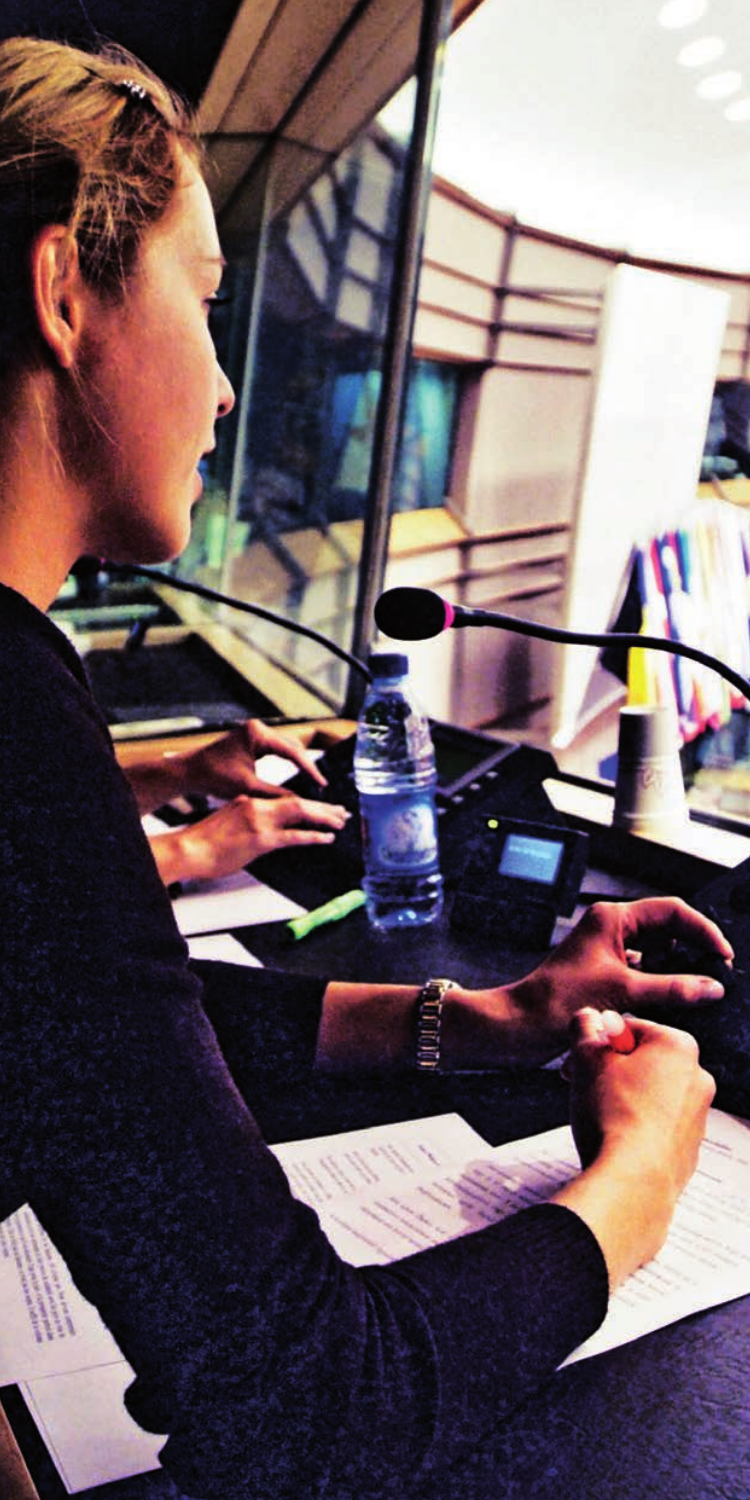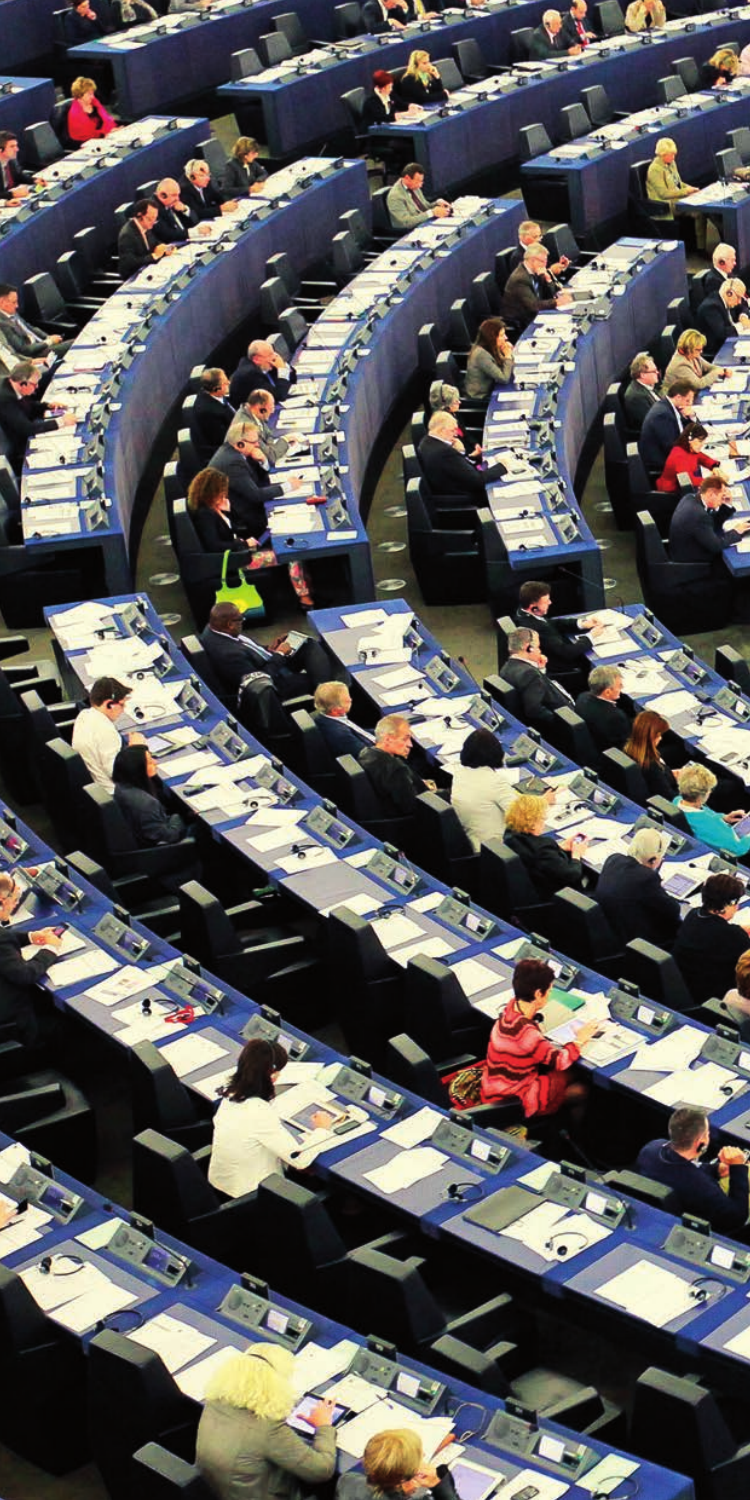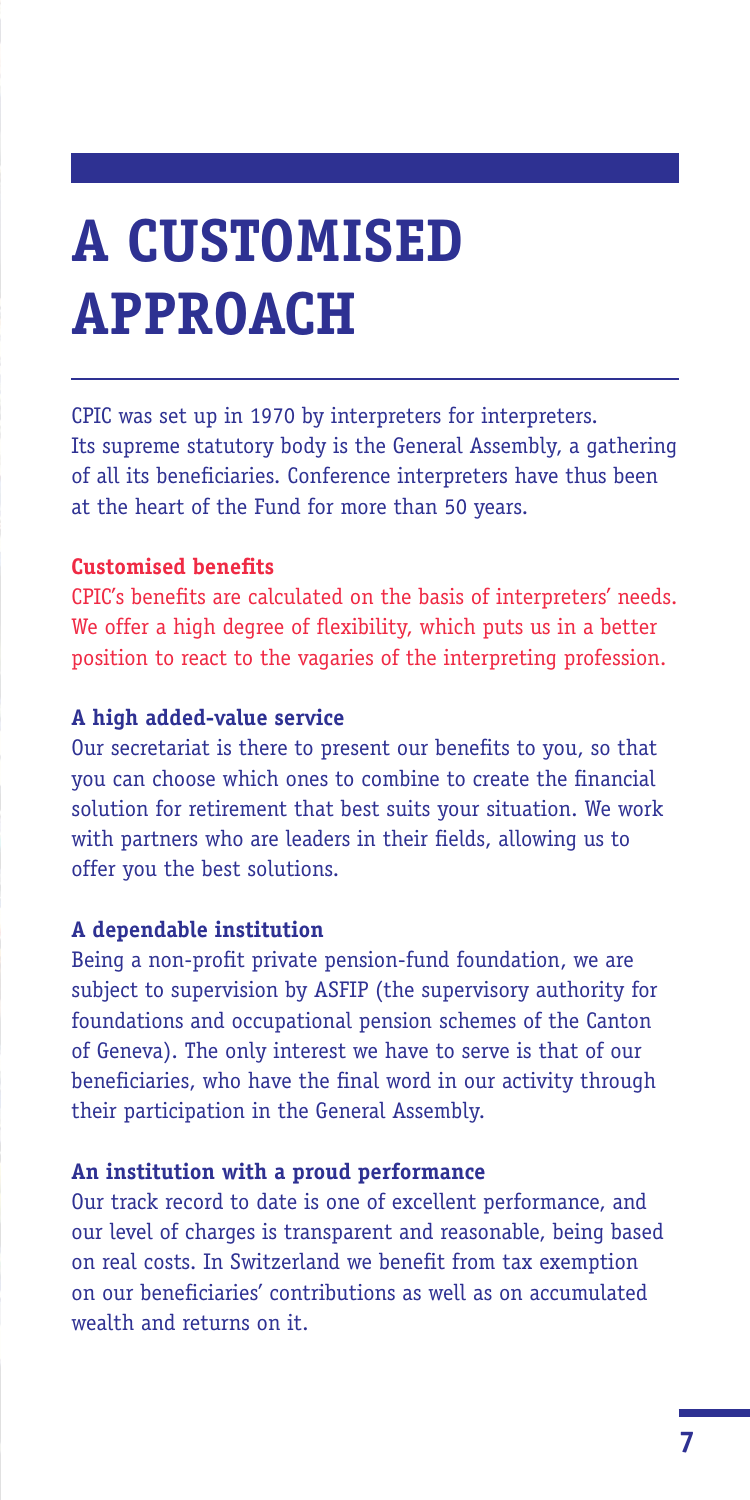# **A CUSTOMISED APPROACH**

CPIC was set up in 1970 by interpreters for interpreters. Its supreme statutory body is the General Assembly, a gathering of all its beneficiaries. Conference interpreters have thus been at the heart of the Fund for more than 50 years.

#### **Customised benefits**

CPIC's benefits are calculated on the basis of interpreters' needs. We offer a high degree of flexibility, which puts us in a better position to react to the vagaries of the interpreting profession.

#### **A high added-value service**

Our secretariat is there to present our benefits to you, so that you can choose which ones to combine to create the financial solution for retirement that best suits your situation. We work with partners who are leaders in their fields, allowing us to offer you the best solutions.

#### **A dependable institution**

Being a non-profit private pension-fund foundation, we are subject to supervision by ASFIP (the supervisory authority for foundations and occupational pension schemes of the Canton of Geneva). The only interest we have to serve is that of our beneficiaries, who have the final word in our activity through their participation in the General Assembly.

#### **An institution with a proud performance**

Our track record to date is one of excellent performance, and our level of charges is transparent and reasonable, being based on real costs. In Switzerland we benefit from tax exemption on our beneficiaries' contributions as well as on accumulated wealth and returns on it.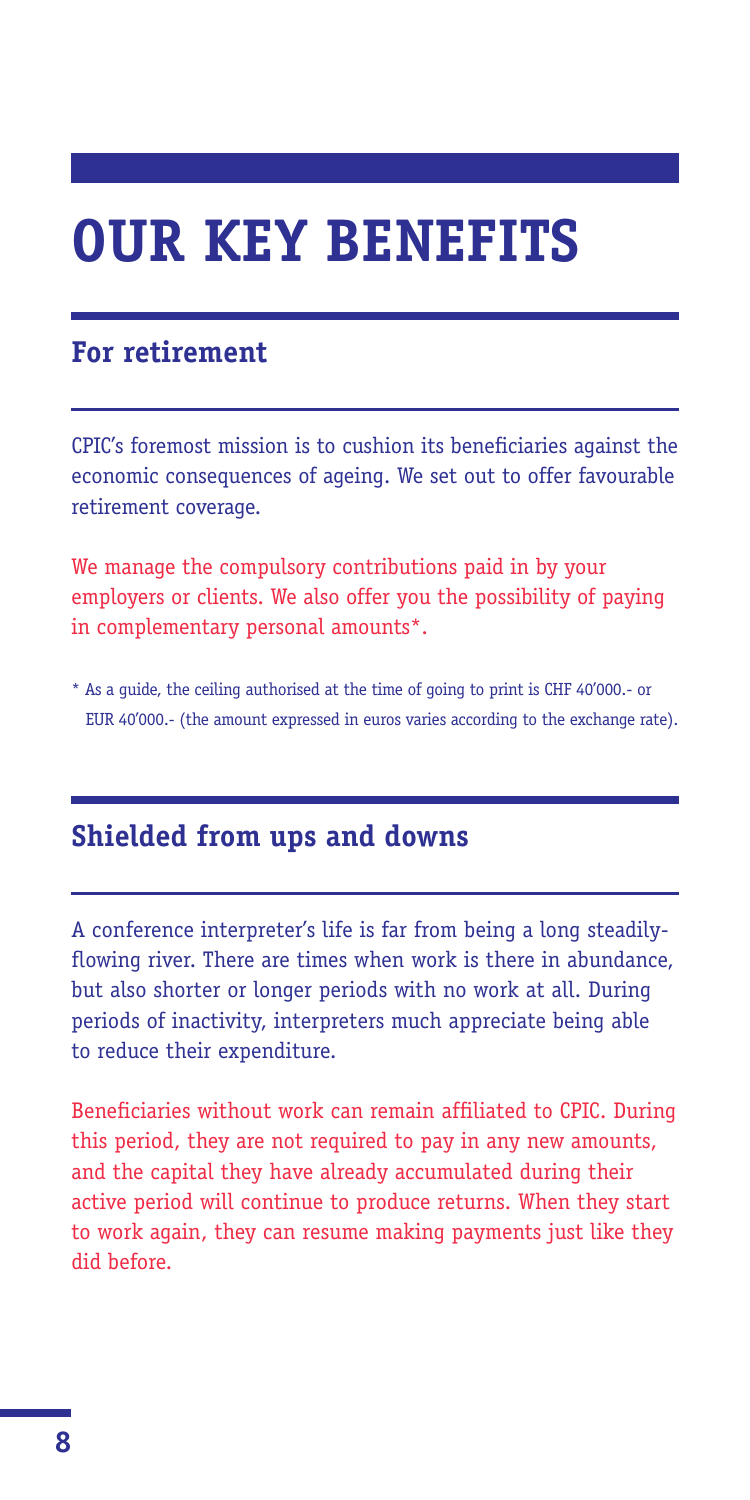# **OUR KEY BENEFITS**

### **For retirement**

CPIC's foremost mission is to cushion its beneficiaries against the economic consequences of ageing. We set out to offer favourable retirement coverage.

We manage the compulsory contributions paid in by your employers or clients. We also offer you the possibility of paying in complementary personal amounts\*.

\* As a guide, the ceiling authorised at the time of going to print is CHF 40'000.- or EUR 40'000.- (the amount expressed in euros varies according to the exchange rate).

### **Shielded from ups and downs**

A conference interpreter's life is far from being a long steadilyflowing river. There are times when work is there in abundance, but also shorter or longer periods with no work at all. During periods of inactivity, interpreters much appreciate being able to reduce their expenditure.

Beneficiaries without work can remain affiliated to CPIC. During this period, they are not required to pay in any new amounts, and the capital they have already accumulated during their active period will continue to produce returns. When they start to work again, they can resume making payments just like they did before.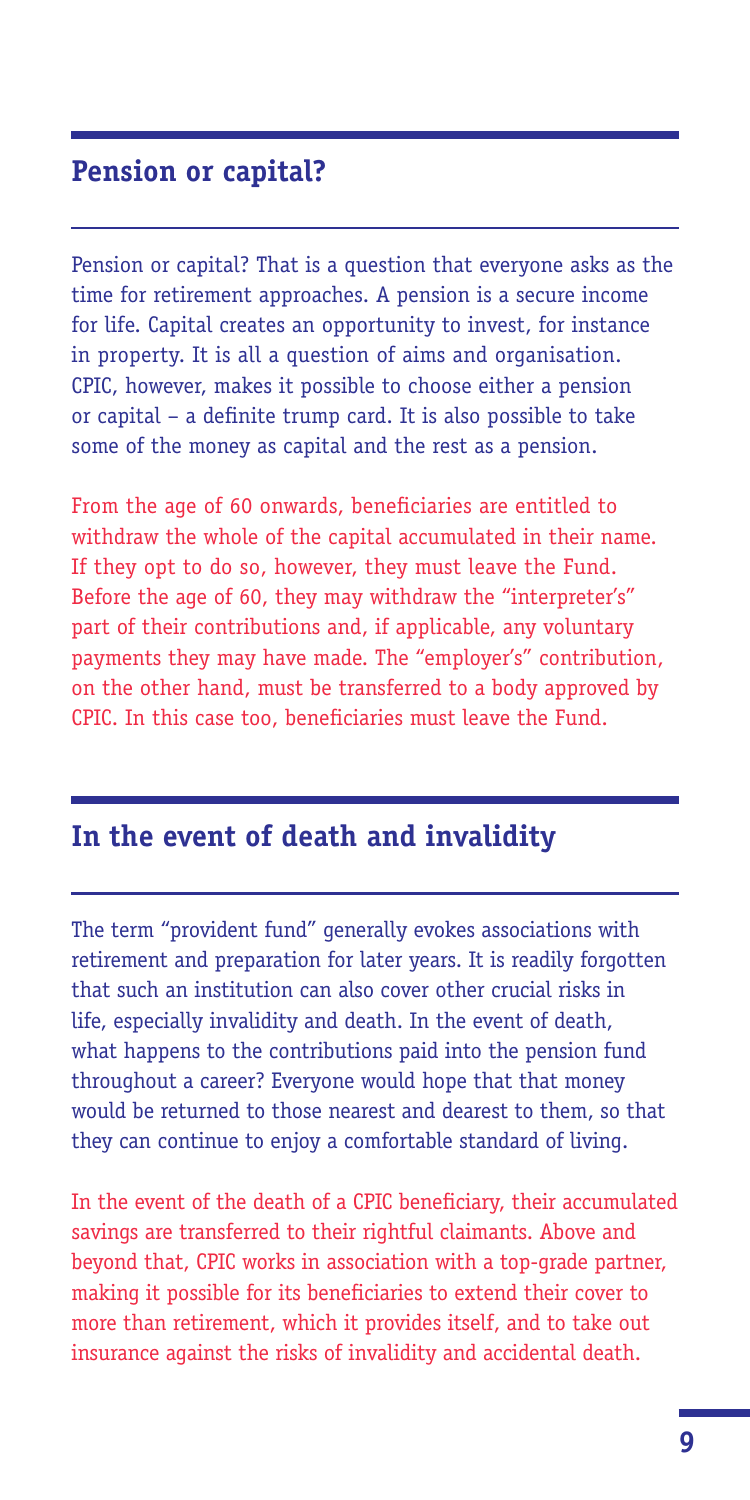### **Pension or capital?**

Pension or capital? That is a question that everyone asks as the time for retirement approaches. A pension is a secure income for life. Capital creates an opportunity to invest, for instance in property. It is all a question of aims and organisation. CPIC, however, makes it possible to choose either a pension or capital – a definite trump card. It is also possible to take some of the money as capital and the rest as a pension.

From the age of 60 onwards, beneficiaries are entitled to withdraw the whole of the capital accumulated in their name. If they opt to do so, however, they must leave the Fund. Before the age of 60, they may withdraw the "interpreter's" part of their contributions and, if applicable, any voluntary payments they may have made. The "employer's" contribution, on the other hand, must be transferred to a body approved by CPIC. In this case too, beneficiaries must leave the Fund.

#### **In the event of death and invalidity**

The term "provident fund" generally evokes associations with retirement and preparation for later years. It is readily forgotten that such an institution can also cover other crucial risks in life, especially invalidity and death. In the event of death, what happens to the contributions paid into the pension fund throughout a career? Everyone would hope that that money would be returned to those nearest and dearest to them, so that they can continue to enjoy a comfortable standard of living.

In the event of the death of a CPIC beneficiary, their accumulated savings are transferred to their rightful claimants. Above and beyond that, CPIC works in association with a top-grade partner, making it possible for its beneficiaries to extend their cover to more than retirement, which it provides itself, and to take out insurance against the risks of invalidity and accidental death.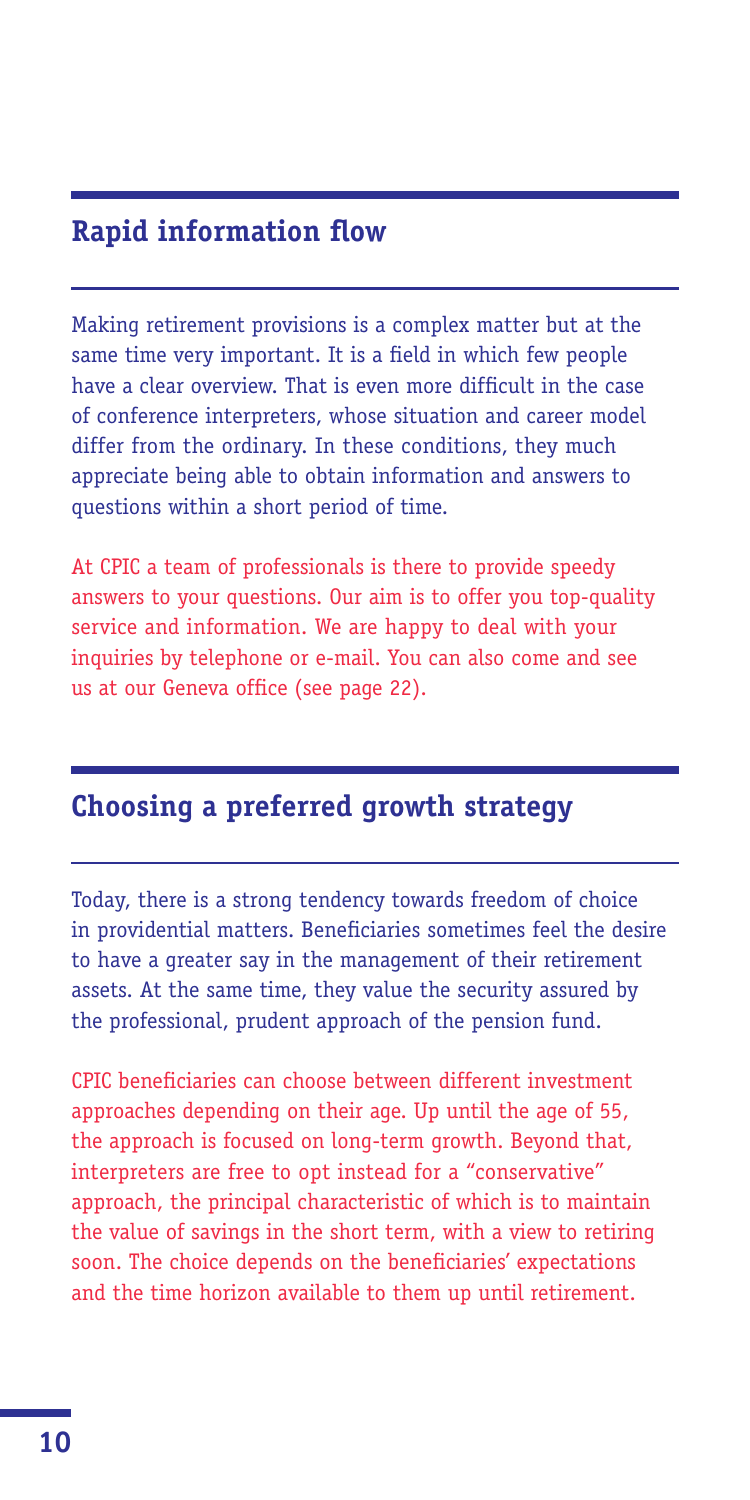### **Rapid information flow**

Making retirement provisions is a complex matter but at the same time very important. It is a field in which few people have a clear overview. That is even more difficult in the case of conference interpreters, whose situation and career model differ from the ordinary. In these conditions, they much appreciate being able to obtain information and answers to questions within a short period of time.

At CPIC a team of professionals is there to provide speedy answers to your questions. Our aim is to offer you top-quality service and information. We are happy to deal with your inquiries by telephone or e-mail. You can also come and see us at our Geneva office (see page 22).

### **Choosing a preferred growth strategy**

Today, there is a strong tendency towards freedom of choice in providential matters. Beneficiaries sometimes feel the desire to have a greater say in the management of their retirement assets. At the same time, they value the security assured by the professional, prudent approach of the pension fund.

CPIC beneficiaries can choose between different investment approaches depending on their age. Up until the age of 55, the approach is focused on long-term growth. Beyond that, interpreters are free to opt instead for a "conservative" approach, the principal characteristic of which is to maintain the value of savings in the short term, with a view to retiring soon. The choice depends on the beneficiaries' expectations and the time horizon available to them up until retirement.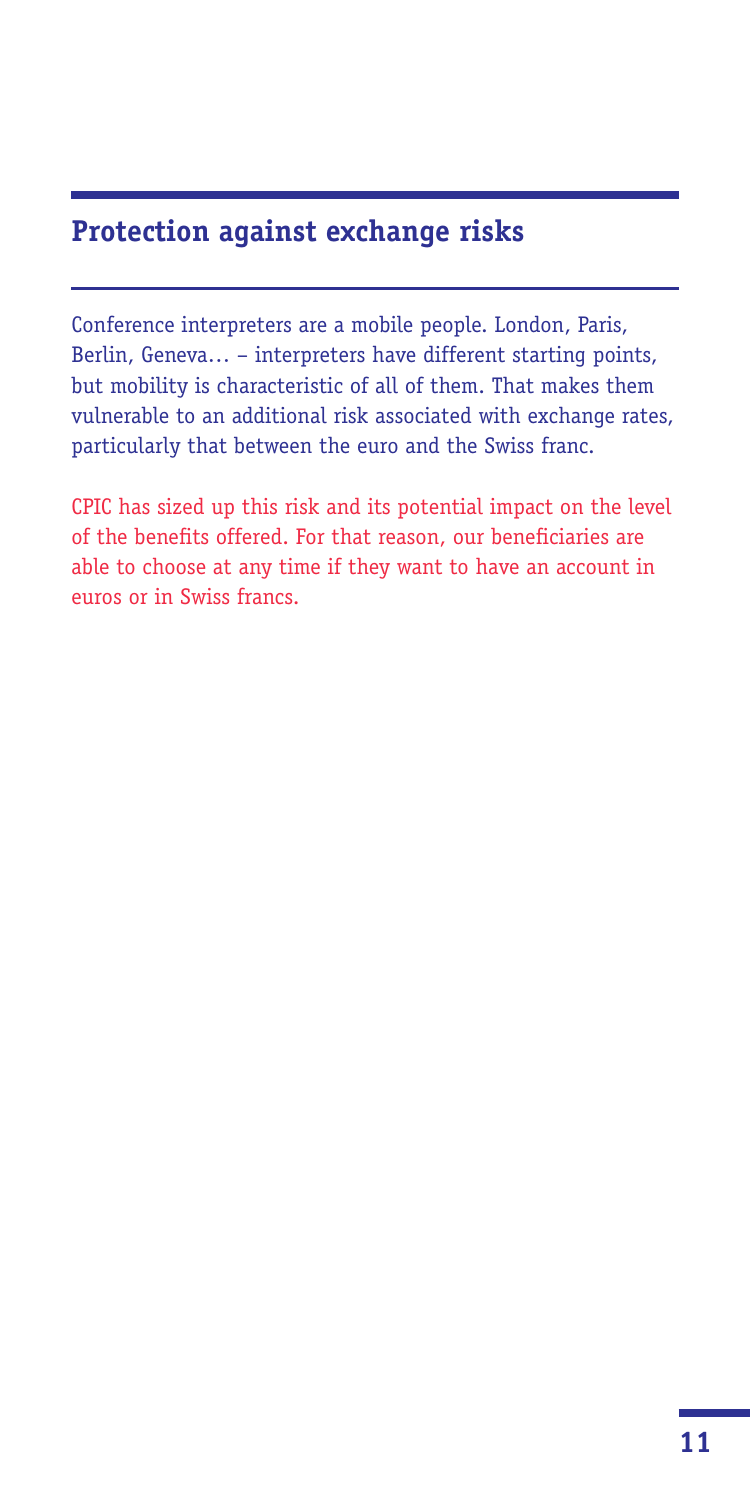### **Protection against exchange risks**

Conference interpreters are a mobile people. London, Paris, Berlin, Geneva… – interpreters have different starting points, but mobility is characteristic of all of them. That makes them vulnerable to an additional risk associated with exchange rates, particularly that between the euro and the Swiss franc.

CPIC has sized up this risk and its potential impact on the level of the benefits offered. For that reason, our beneficiaries are able to choose at any time if they want to have an account in euros or in Swiss francs.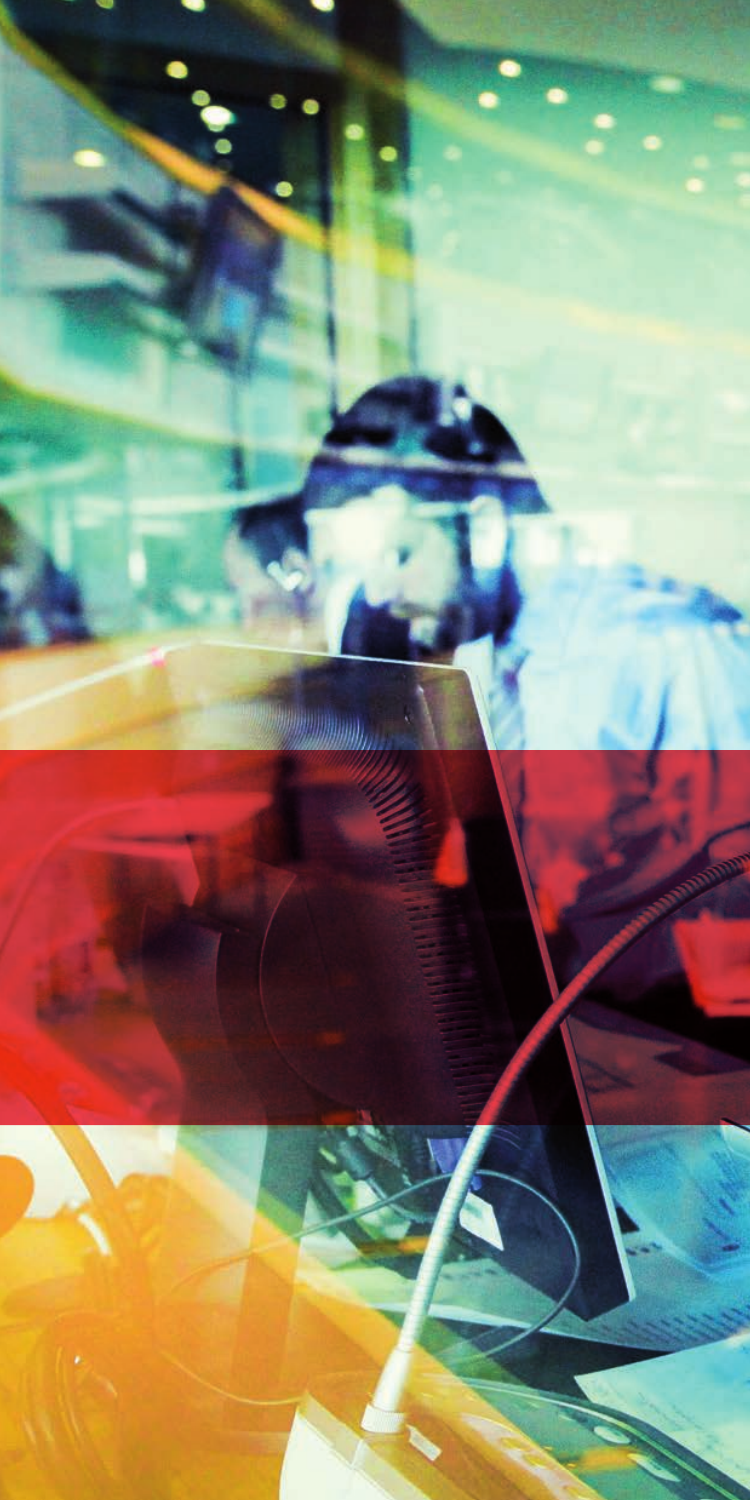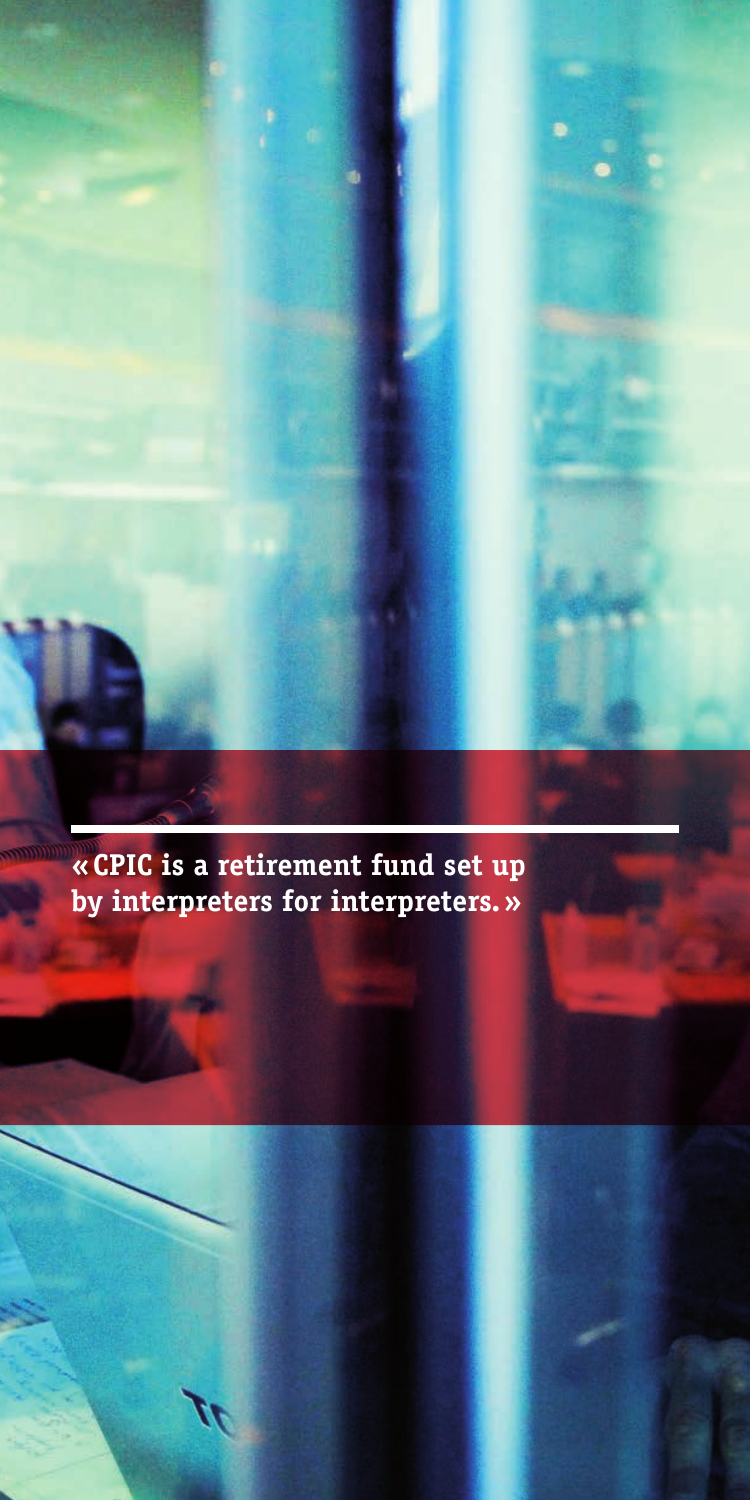**«CPIC is a retirement fund set up by interpreters for interpreters.»**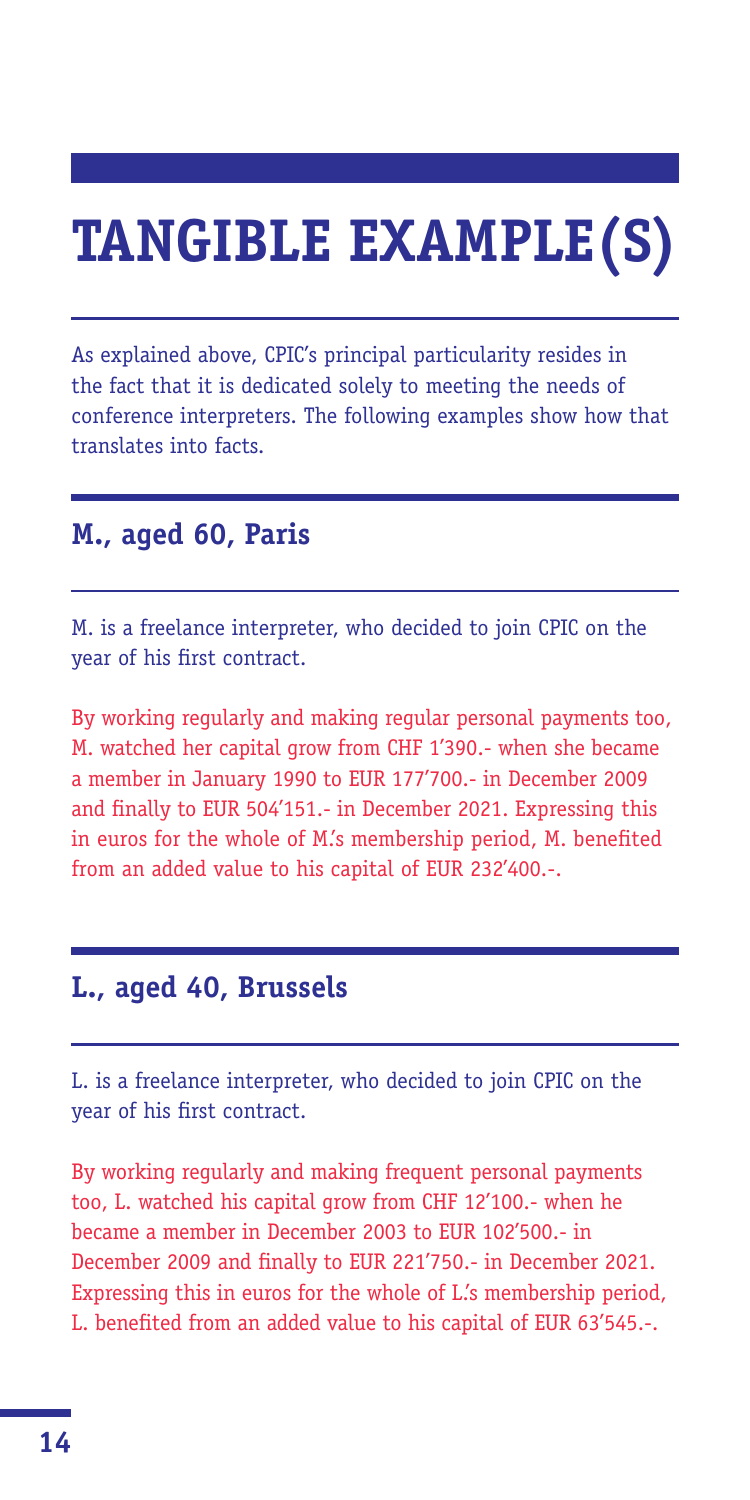# **TANGIBLE EXAMPLE(S)**

As explained above, CPIC's principal particularity resides in the fact that it is dedicated solely to meeting the needs of conference interpreters. The following examples show how that translates into facts.

### **M., aged 60, Paris**

M. is a freelance interpreter, who decided to join CPIC on the year of his first contract.

By working regularly and making regular personal payments too, M. watched her capital grow from CHF 1'390.- when she became a member in January 1990 to EUR 177'700.- in December 2009 and finally to EUR 504'151.- in December 2021. Expressing this in euros for the whole of M.'s membership period, M. benefited from an added value to his capital of EUR 232'400.-.

#### **L., aged 40, Brussels**

L. is a freelance interpreter, who decided to join CPIC on the year of his first contract.

By working regularly and making frequent personal payments too, L. watched his capital grow from CHF 12'100.- when he became a member in December 2003 to EUR 102'500.- in December 2009 and finally to EUR 221'750.- in December 2021. Expressing this in euros for the whole of L.'s membership period, L. benefited from an added value to his capital of EUR 63'545.-.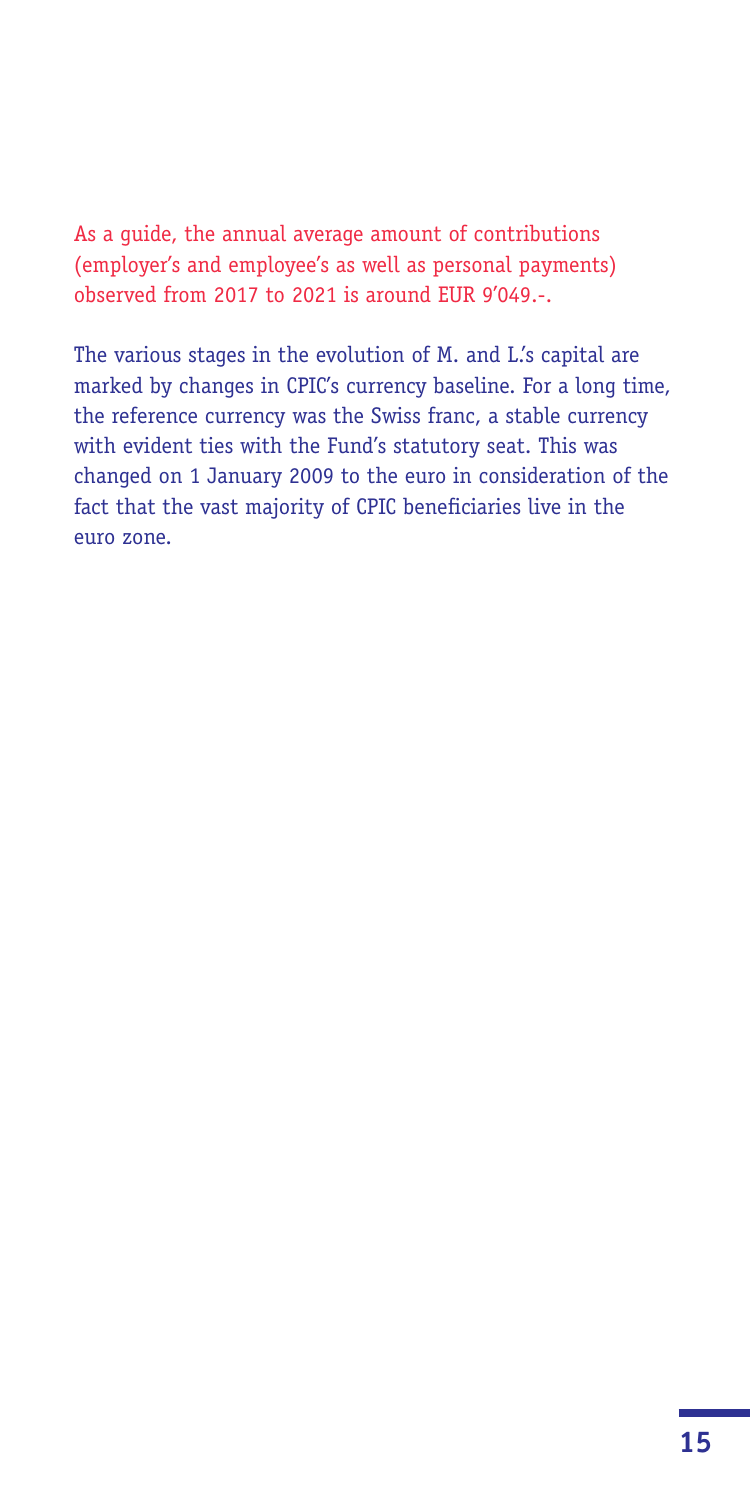As a guide, the annual average amount of contributions (employer's and employee's as well as personal payments) observed from 2017 to 2021 is around EUR 9'049.-.

The various stages in the evolution of M. and L.'s capital are marked by changes in CPIC's currency baseline. For a long time, the reference currency was the Swiss franc, a stable currency with evident ties with the Fund's statutory seat. This was changed on 1 January 2009 to the euro in consideration of the fact that the vast majority of CPIC beneficiaries live in the euro zone.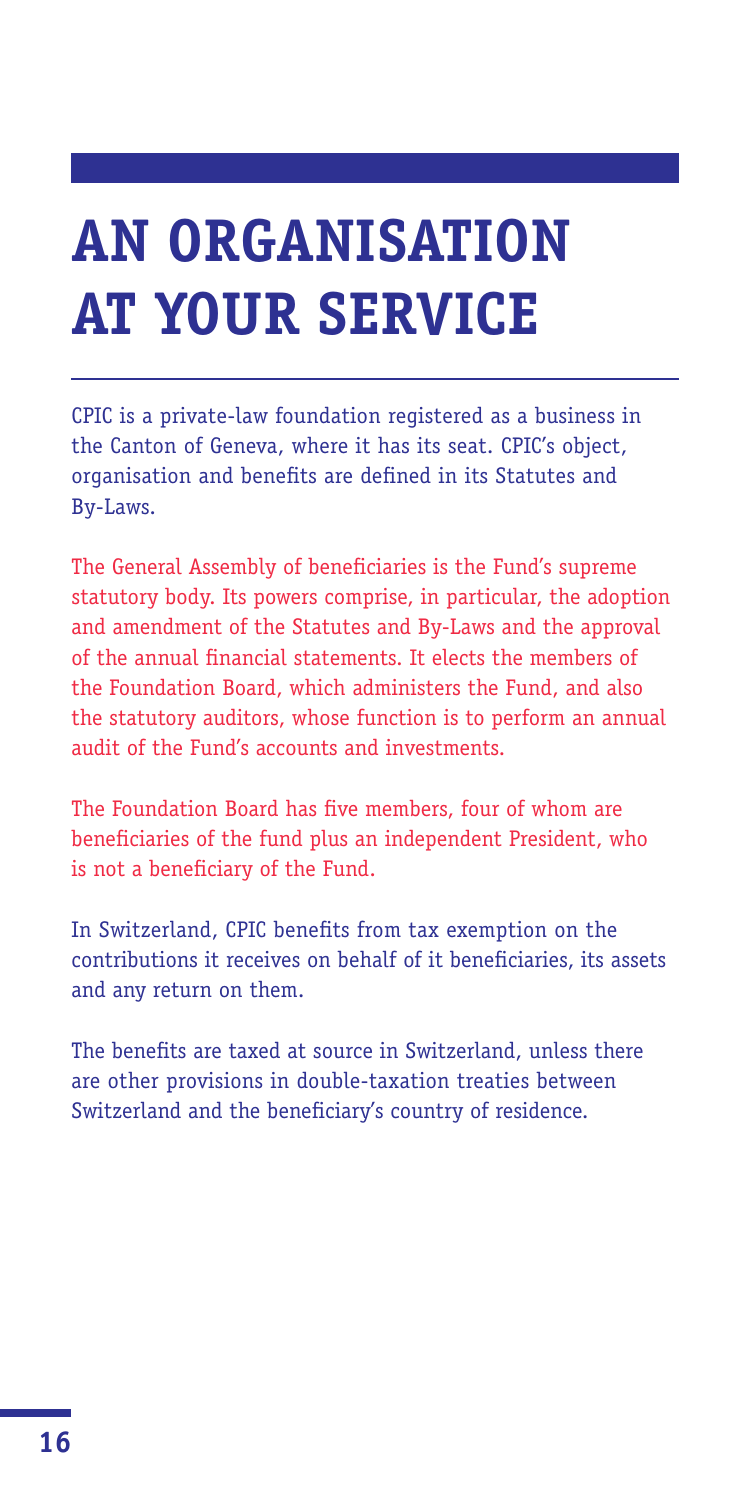# **AN ORGANISATION AT YOUR SERVICE**

CPIC is a private-law foundation registered as a business in the Canton of Geneva, where it has its seat. CPIC's object, organisation and benefits are defined in its Statutes and By-Laws.

The General Assembly of beneficiaries is the Fund's supreme statutory body. Its powers comprise, in particular, the adoption and amendment of the Statutes and By-Laws and the approval of the annual financial statements. It elects the members of the Foundation Board, which administers the Fund, and also the statutory auditors, whose function is to perform an annual audit of the Fund's accounts and investments.

The Foundation Board has five members, four of whom are beneficiaries of the fund plus an independent President, who is not a beneficiary of the Fund.

In Switzerland, CPIC benefits from tax exemption on the contributions it receives on behalf of it beneficiaries, its assets and any return on them.

The benefits are taxed at source in Switzerland, unless there are other provisions in double-taxation treaties between Switzerland and the beneficiary's country of residence.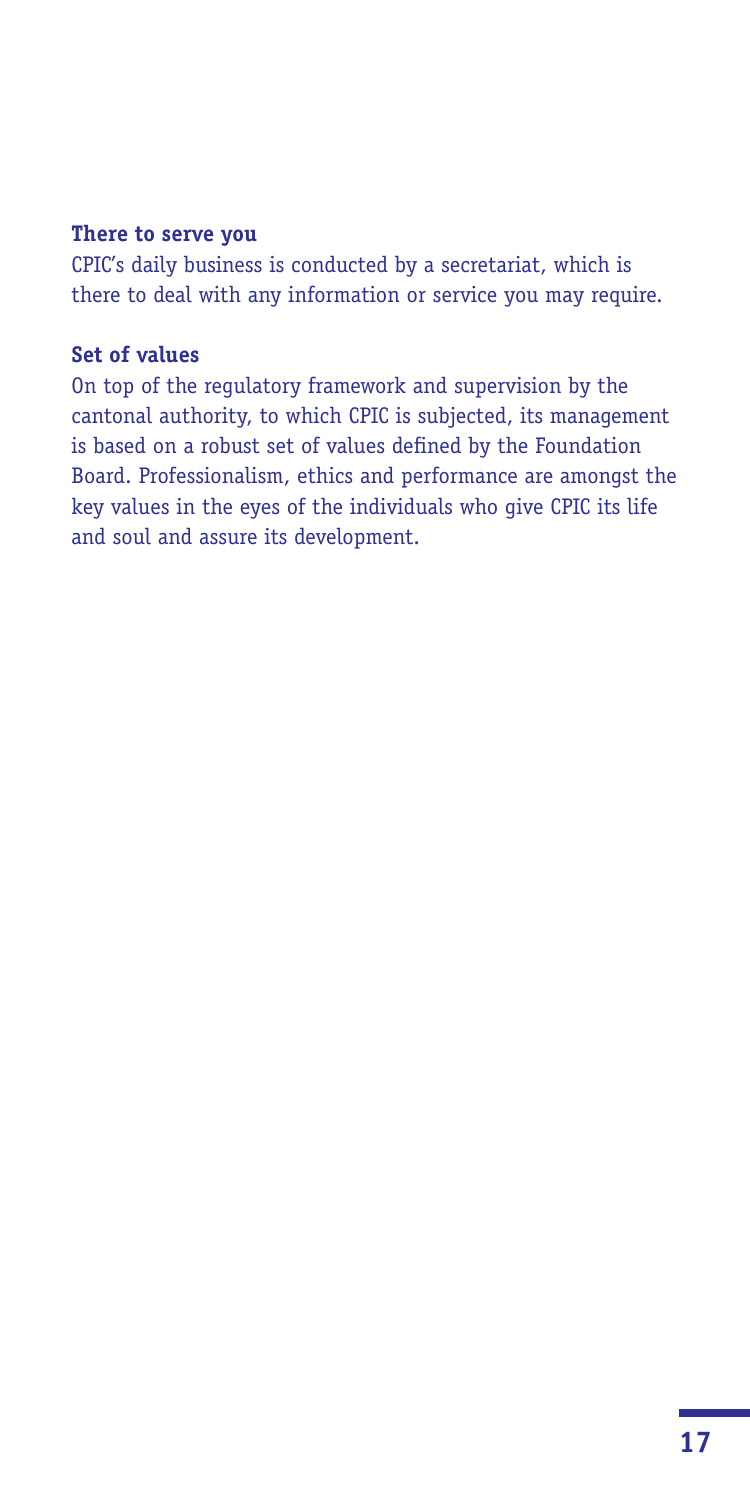#### **There to serve you**

CPIC's daily business is conducted by a secretariat, which is there to deal with any information or service you may require.

#### **Set of values**

On top of the regulatory framework and supervision by the cantonal authority, to which CPIC is subjected, its management is based on a robust set of values defined by the Foundation Board. Professionalism, ethics and performance are amongst the key values in the eyes of the individuals who give CPIC its life and soul and assure its development.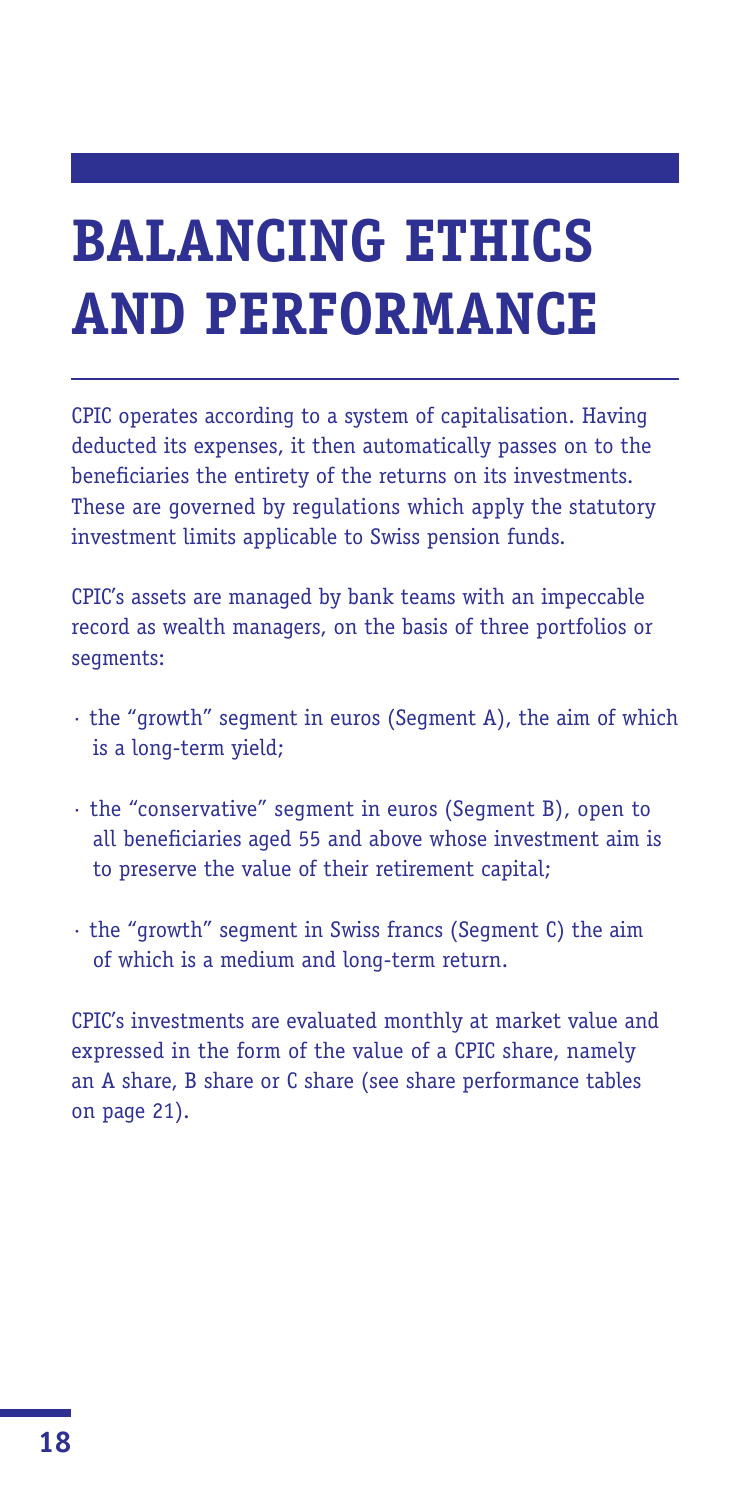# **BALANCING ETHICS AND PERFORMANCE**

CPIC operates according to a system of capitalisation. Having deducted its expenses, it then automatically passes on to the beneficiaries the entirety of the returns on its investments. These are governed by regulations which apply the statutory investment limits applicable to Swiss pension funds.

CPIC's assets are managed by bank teams with an impeccable record as wealth managers, on the basis of three portfolios or segments:

- · the "growth" segment in euros (Segment A), the aim of which is a long-term yield;
- · the "conservative" segment in euros (Segment B), open to all beneficiaries aged 55 and above whose investment aim is to preserve the value of their retirement capital;
- · the "growth" segment in Swiss francs (Segment C) the aim of which is a medium and long-term return.

CPIC's investments are evaluated monthly at market value and expressed in the form of the value of a CPIC share, namely an A share, B share or C share (see share performance tables on page 21).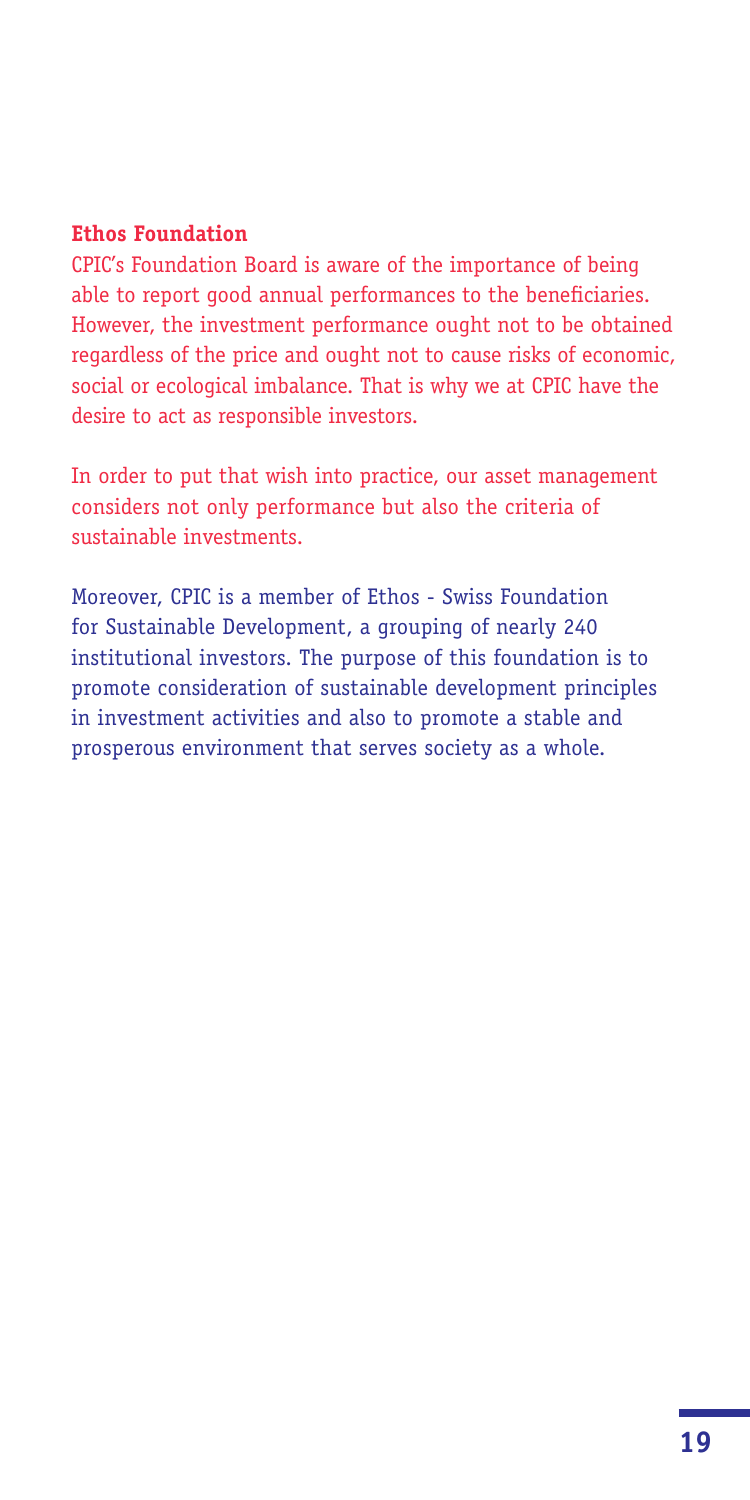#### **Ethos Foundation**

CPIC's Foundation Board is aware of the importance of being able to report good annual performances to the beneficiaries. However, the investment performance ought not to be obtained regardless of the price and ought not to cause risks of economic, social or ecological imbalance. That is why we at CPIC have the desire to act as responsible investors.

In order to put that wish into practice, our asset management considers not only performance but also the criteria of sustainable investments.

Moreover, CPIC is a member of Ethos - Swiss Foundation for Sustainable Development, a grouping of nearly 240 institutional investors. The purpose of this foundation is to promote consideration of sustainable development principles in investment activities and also to promote a stable and prosperous environment that serves society as a whole.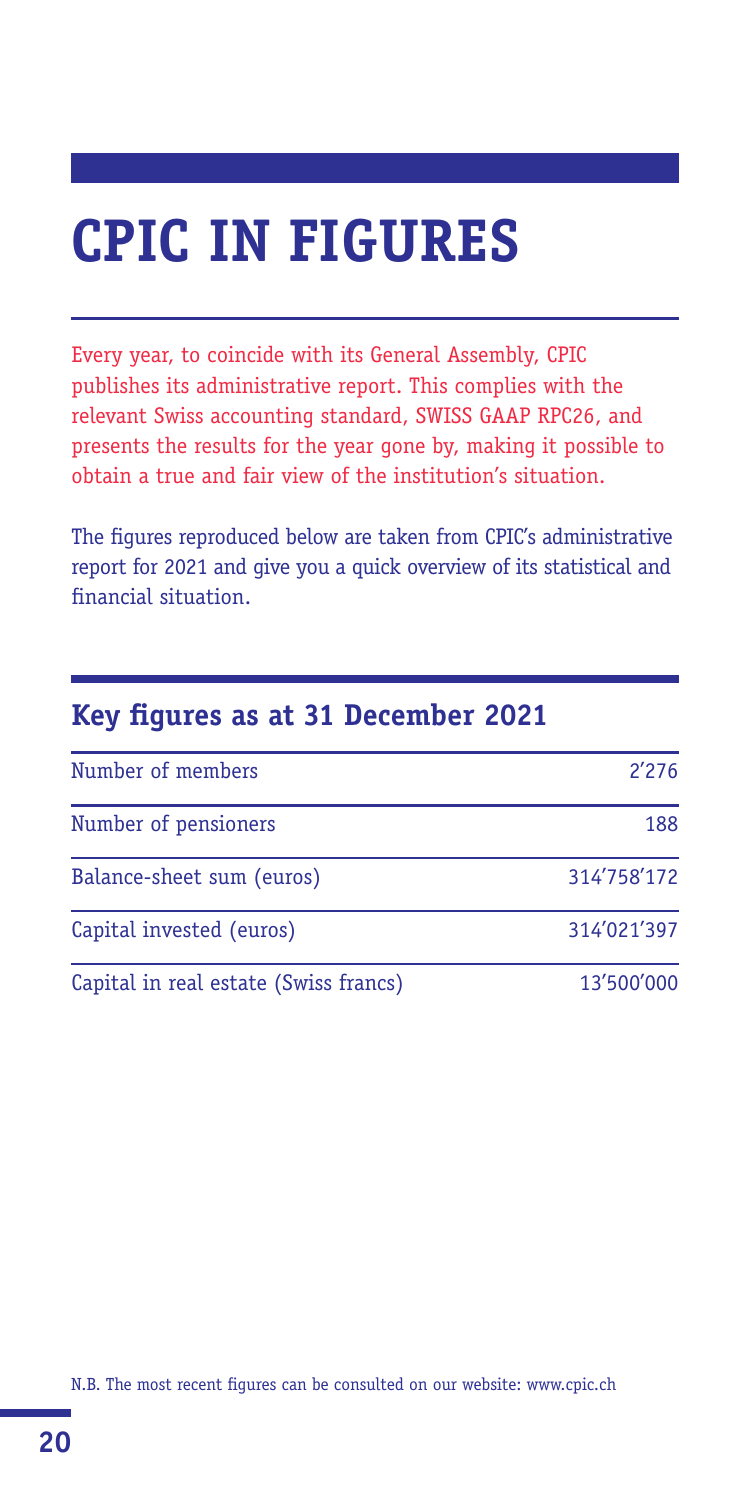# **CPIC IN FIGURES**

Every year, to coincide with its General Assembly, CPIC publishes its administrative report. This complies with the relevant Swiss accounting standard, SWISS GAAP RPC26, and presents the results for the year gone by, making it possible to obtain a true and fair view of the institution's situation.

The figures reproduced below are taken from CPIC's administrative report for 2021 and give you a quick overview of its statistical and financial situation.

### **Key figures as at 31 December 2021**

| Number of members                     | 2'276       |
|---------------------------------------|-------------|
| Number of pensioners                  | 188         |
| Balance-sheet sum (euros)             | 314'758'172 |
| Capital invested (euros)              | 314'021'397 |
| Capital in real estate (Swiss francs) | 13'500'000  |

N.B. The most recent figures can be consulted on our website: www.cpic.ch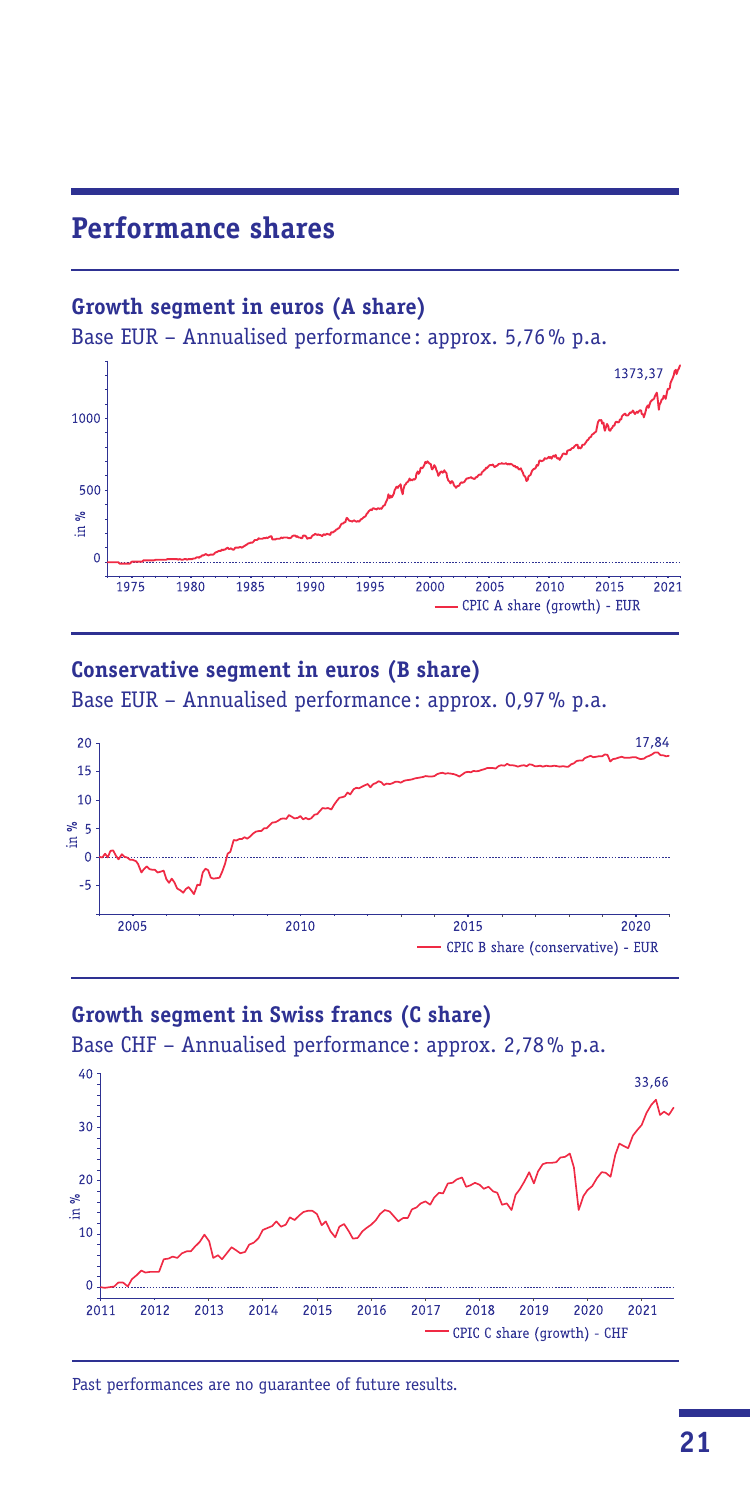## **Performance shares**





#### **Conservative segment in euros (B share)**

Base EUR – Annualised performance : approx. 0,97% p.a.



**Growth segment in Swiss francs (C share)** Base CHF – Annualised performance : approx. 2,78% p.a.



Past performances are no guarantee of future results.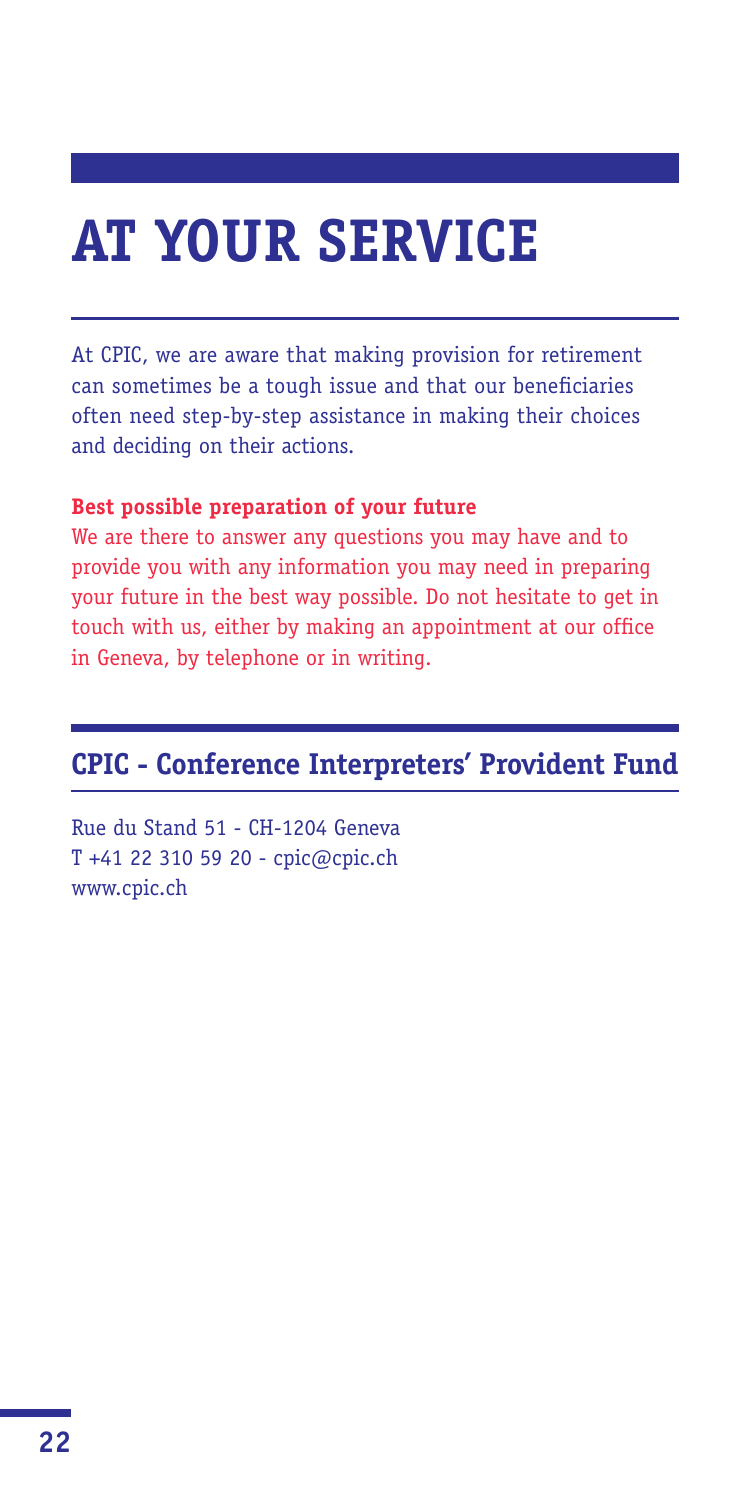# **AT YOUR SERVICE**

At CPIC, we are aware that making provision for retirement can sometimes be a tough issue and that our beneficiaries often need step-by-step assistance in making their choices and deciding on their actions.

#### **Best possible preparation of your future**

We are there to answer any questions you may have and to provide you with any information you may need in preparing your future in the best way possible. Do not hesitate to get in touch with us, either by making an appointment at our office in Geneva, by telephone or in writing.

### **CPIC - Conference Interpreters' Provident Fund**

Rue du Stand 51 - CH-1204 Geneva T +41 22 310 59 20 - cpic@cpic.ch www.cpic.ch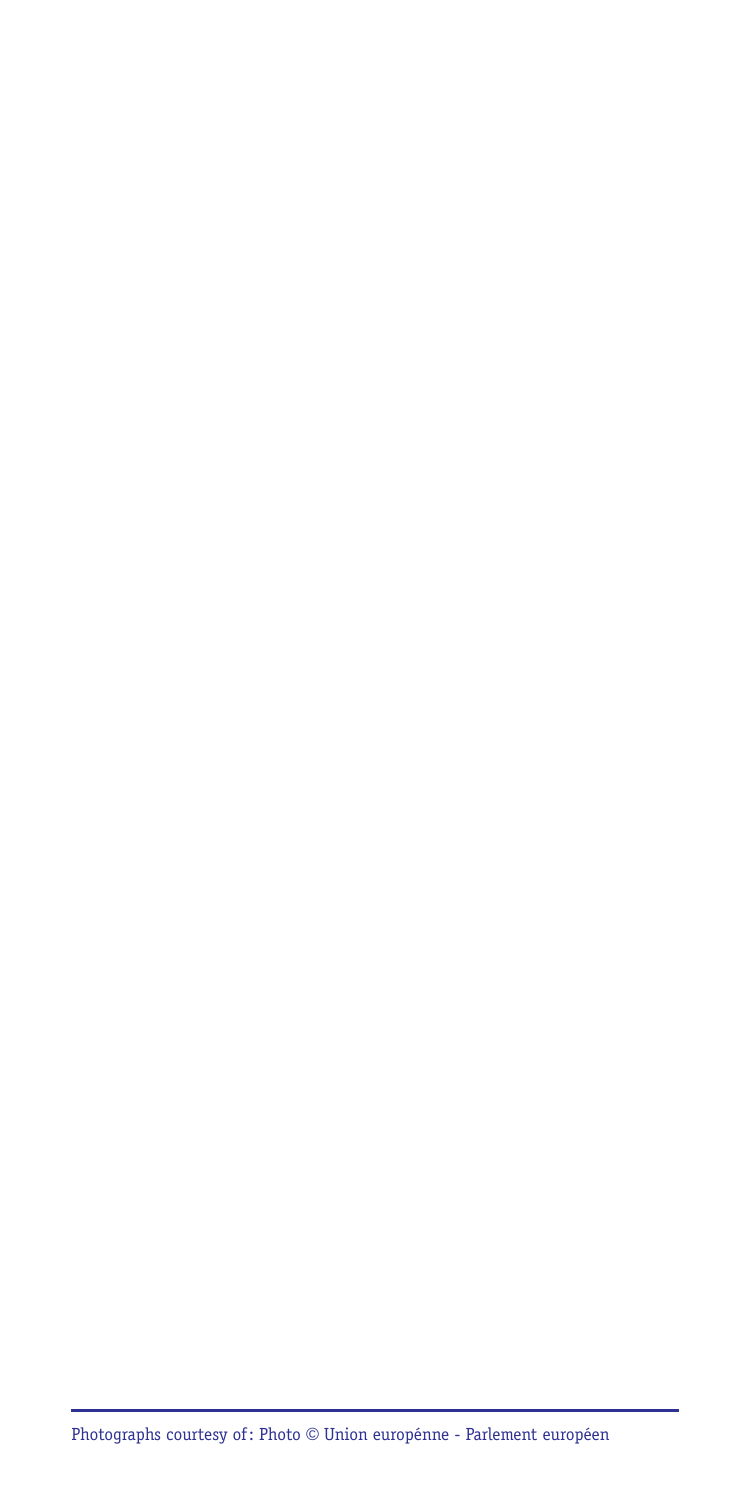Photographs courtesy of: Photo © Union europénne - Parlement européen